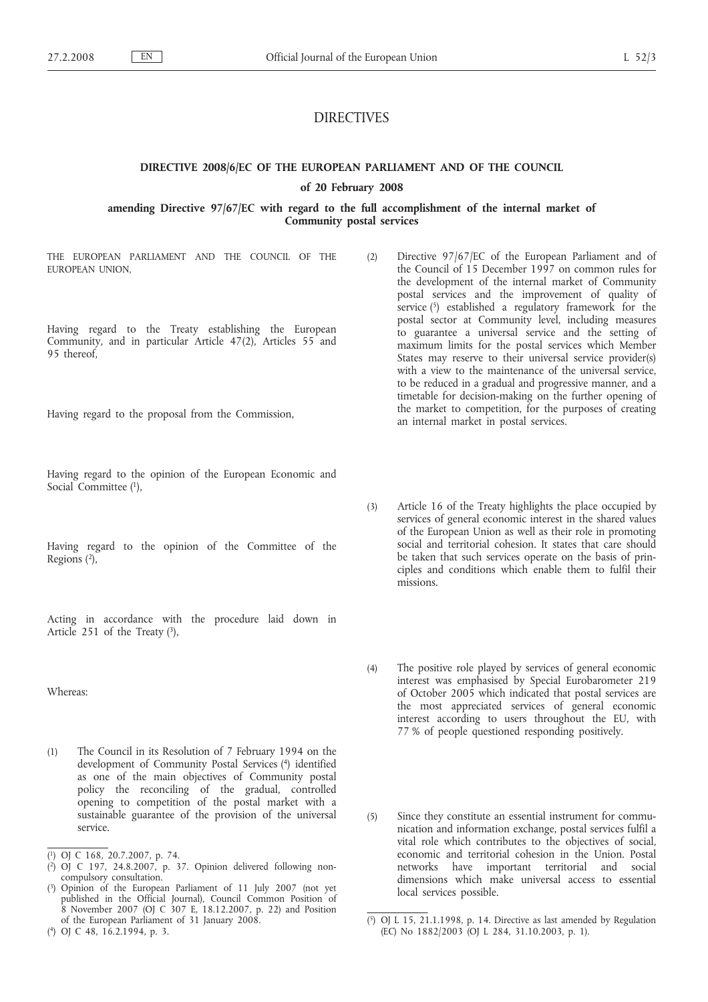# DIRECTIVES

## **DIRECTIVE 2008/6/EC OF THE EUROPEAN PARLIAMENT AND OF THE COUNCIL**

### **of 20 February 2008**

**amending Directive 97/67/EC with regard to the full accomplishment of the internal market of Community postal services**

THE EUROPEAN PARLIAMENT AND THE COUNCIL OF THE EUROPEAN UNION,

Having regard to the Treaty establishing the European Community, and in particular Article 47(2), Articles 55 and 95 thereof,

Having regard to the proposal from the Commission,

Having regard to the opinion of the European Economic and Social Committee (1),

Having regard to the opinion of the Committee of the Regions (2),

Acting in accordance with the procedure laid down in Article 251 of the Treaty  $(3)$ ,

Whereas:

(1) The Council in its Resolution of 7 February 1994 on the development of Community Postal Services (4) identified as one of the main objectives of Community postal policy the reconciling of the gradual, controlled opening to competition of the postal market with a sustainable guarantee of the provision of the universal service.

- ( 2) OJ C 197, 24.8.2007, p. 37. Opinion delivered following noncompulsory consultation.
- ( 3) Opinion of the European Parliament of 11 July 2007 (not yet published in the Official Journal), Council Common Position of 8 November 2007 (OJ C 307 E, 18.12.2007, p. 22) and Position of the European Parliament of 31 January 2008.
- (2) Directive 97/67/EC of the European Parliament and of the Council of 15 December 1997 on common rules for the development of the internal market of Community postal services and the improvement of quality of service  $(5)$  established a regulatory framework for the postal sector at Community level, including measures to guarantee a universal service and the setting of maximum limits for the postal services which Member States may reserve to their universal service provider(s) with a view to the maintenance of the universal service, to be reduced in a gradual and progressive manner, and a timetable for decision-making on the further opening of the market to competition, for the purposes of creating an internal market in postal services.
- (3) Article 16 of the Treaty highlights the place occupied by services of general economic interest in the shared values of the European Union as well as their role in promoting social and territorial cohesion. It states that care should be taken that such services operate on the basis of principles and conditions which enable them to fulfil their missions.
- (4) The positive role played by services of general economic interest was emphasised by Special Eurobarometer 219 of October 2005 which indicated that postal services are the most appreciated services of general economic interest according to users throughout the EU, with 77 % of people questioned responding positively.
- (5) Since they constitute an essential instrument for communication and information exchange, postal services fulfil a vital role which contributes to the objectives of social, economic and territorial cohesion in the Union. Postal networks have important territorial and social dimensions which make universal access to essential local services possible.

<sup>(</sup> 1) OJ C 168, 20.7.2007, p. 74.

<sup>(</sup> 4) OJ C 48, 16.2.1994, p. 3.

<sup>(</sup> 5) OJ L 15, 21.1.1998, p. 14. Directive as last amended by Regulation (EC) No 1882/2003 (OJ L 284, 31.10.2003, p. 1).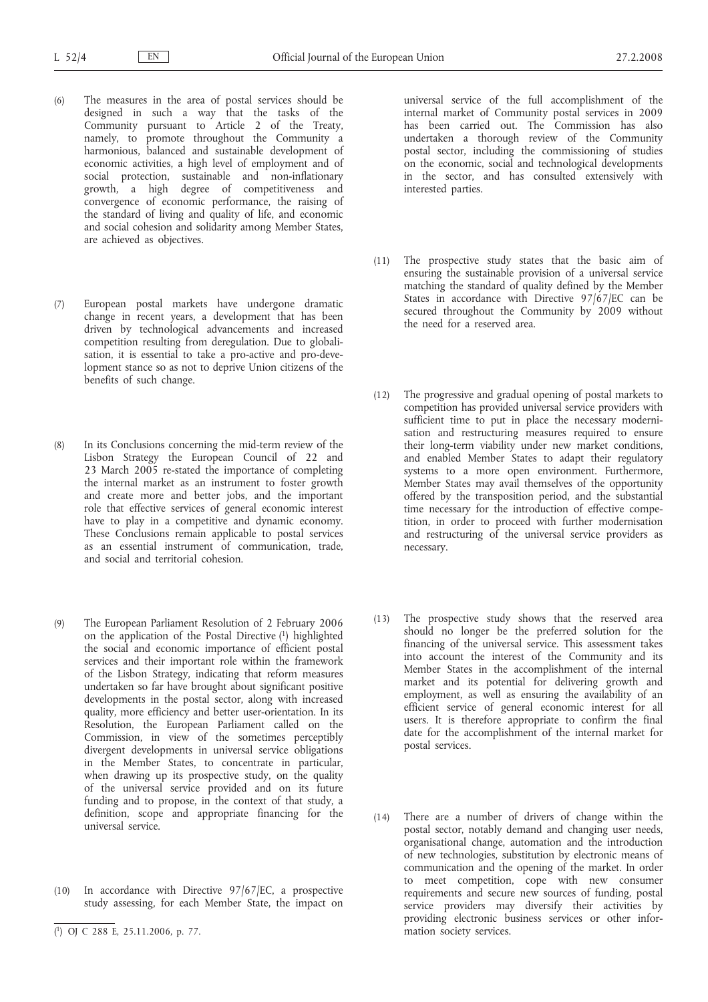- (6) The measures in the area of postal services should be designed in such a way that the tasks of the Community pursuant to Article 2 of the Treaty, namely, to promote throughout the Community a harmonious, balanced and sustainable development of economic activities, a high level of employment and of social protection, sustainable and non-inflationary growth, a high degree of competitiveness and convergence of economic performance, the raising of the standard of living and quality of life, and economic and social cohesion and solidarity among Member States, are achieved as objectives.
- (7) European postal markets have undergone dramatic change in recent years, a development that has been driven by technological advancements and increased competition resulting from deregulation. Due to globalisation, it is essential to take a pro-active and pro-development stance so as not to deprive Union citizens of the benefits of such change.
- (8) In its Conclusions concerning the mid-term review of the Lisbon Strategy the European Council of 22 and 23 March 2005 re-stated the importance of completing the internal market as an instrument to foster growth and create more and better jobs, and the important role that effective services of general economic interest have to play in a competitive and dynamic economy. These Conclusions remain applicable to postal services as an essential instrument of communication, trade, and social and territorial cohesion.
- (9) The European Parliament Resolution of 2 February 2006 on the application of the Postal Directive (1) highlighted the social and economic importance of efficient postal services and their important role within the framework of the Lisbon Strategy, indicating that reform measures undertaken so far have brought about significant positive developments in the postal sector, along with increased quality, more efficiency and better user-orientation. In its Resolution, the European Parliament called on the Commission, in view of the sometimes perceptibly divergent developments in universal service obligations in the Member States, to concentrate in particular, when drawing up its prospective study, on the quality of the universal service provided and on its future funding and to propose, in the context of that study, a definition, scope and appropriate financing for the universal service.
- (10) In accordance with Directive 97/67/EC, a prospective study assessing, for each Member State, the impact on

universal service of the full accomplishment of the internal market of Community postal services in 2009 has been carried out. The Commission has also undertaken a thorough review of the Community postal sector, including the commissioning of studies on the economic, social and technological developments in the sector, and has consulted extensively with interested parties.

- (11) The prospective study states that the basic aim of ensuring the sustainable provision of a universal service matching the standard of quality defined by the Member States in accordance with Directive 97/67/EC can be secured throughout the Community by 2009 without the need for a reserved area.
- (12) The progressive and gradual opening of postal markets to competition has provided universal service providers with sufficient time to put in place the necessary modernisation and restructuring measures required to ensure their long-term viability under new market conditions, and enabled Member States to adapt their regulatory systems to a more open environment. Furthermore, Member States may avail themselves of the opportunity offered by the transposition period, and the substantial time necessary for the introduction of effective competition, in order to proceed with further modernisation and restructuring of the universal service providers as necessary.
- (13) The prospective study shows that the reserved area should no longer be the preferred solution for the financing of the universal service. This assessment takes into account the interest of the Community and its Member States in the accomplishment of the internal market and its potential for delivering growth and employment, as well as ensuring the availability of an efficient service of general economic interest for all users. It is therefore appropriate to confirm the final date for the accomplishment of the internal market for postal services.
- (14) There are a number of drivers of change within the postal sector, notably demand and changing user needs, organisational change, automation and the introduction of new technologies, substitution by electronic means of communication and the opening of the market. In order to meet competition, cope with new consumer requirements and secure new sources of funding, postal service providers may diversify their activities by providing electronic business services or other information society services.

<sup>(</sup> 1) OJ C 288 E, 25.11.2006, p. 77.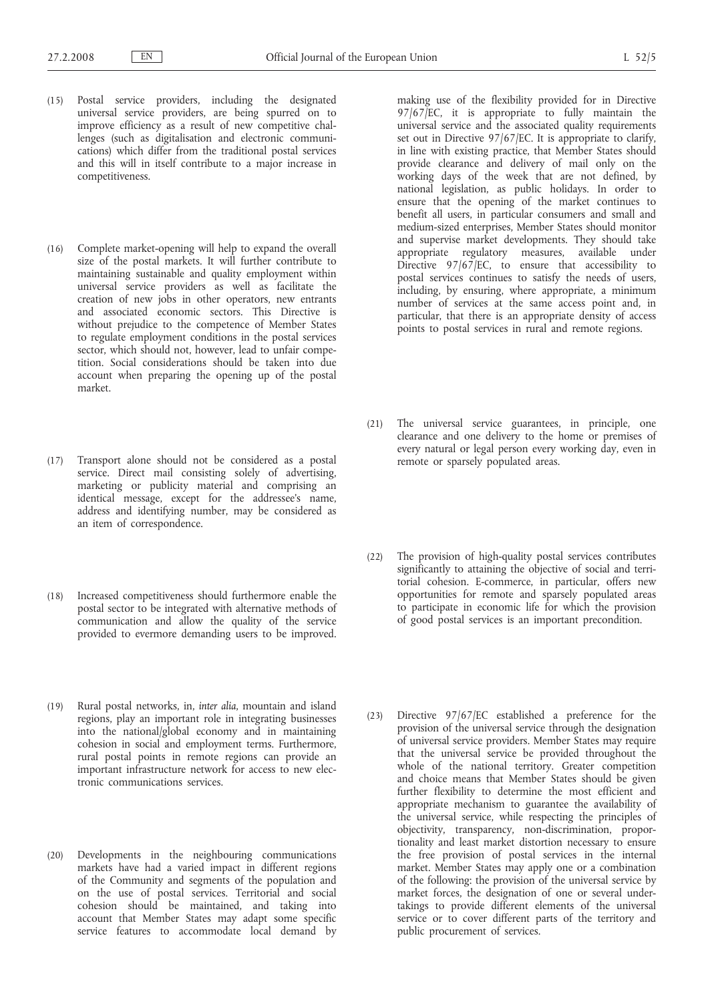- (15) Postal service providers, including the designated universal service providers, are being spurred on to improve efficiency as a result of new competitive challenges (such as digitalisation and electronic communications) which differ from the traditional postal services and this will in itself contribute to a major increase in competitiveness.
- (16) Complete market-opening will help to expand the overall size of the postal markets. It will further contribute to maintaining sustainable and quality employment within universal service providers as well as facilitate the creation of new jobs in other operators, new entrants and associated economic sectors. This Directive is without prejudice to the competence of Member States to regulate employment conditions in the postal services sector, which should not, however, lead to unfair competition. Social considerations should be taken into due account when preparing the opening up of the postal market.
- (17) Transport alone should not be considered as a postal service. Direct mail consisting solely of advertising, marketing or publicity material and comprising an identical message, except for the addressee's name, address and identifying number, may be considered as an item of correspondence.
- (18) Increased competitiveness should furthermore enable the postal sector to be integrated with alternative methods of communication and allow the quality of the service provided to evermore demanding users to be improved.
- (19) Rural postal networks, in, *inter alia*, mountain and island regions, play an important role in integrating businesses into the national/global economy and in maintaining cohesion in social and employment terms. Furthermore, rural postal points in remote regions can provide an important infrastructure network for access to new electronic communications services.
- (20) Developments in the neighbouring communications markets have had a varied impact in different regions of the Community and segments of the population and on the use of postal services. Territorial and social cohesion should be maintained, and taking into account that Member States may adapt some specific service features to accommodate local demand by

making use of the flexibility provided for in Directive 97/67/EC, it is appropriate to fully maintain the universal service and the associated quality requirements set out in Directive 97/67/EC. It is appropriate to clarify, in line with existing practice, that Member States should provide clearance and delivery of mail only on the working days of the week that are not defined, by national legislation, as public holidays. In order to ensure that the opening of the market continues to benefit all users, in particular consumers and small and medium-sized enterprises, Member States should monitor and supervise market developments. They should take appropriate regulatory measures, available under Directive 97/67/EC, to ensure that accessibility to postal services continues to satisfy the needs of users, including, by ensuring, where appropriate, a minimum number of services at the same access point and, in particular, that there is an appropriate density of access points to postal services in rural and remote regions.

- The universal service guarantees, in principle, one clearance and one delivery to the home or premises of every natural or legal person every working day, even in remote or sparsely populated areas.
- (22) The provision of high-quality postal services contributes significantly to attaining the objective of social and territorial cohesion. E-commerce, in particular, offers new opportunities for remote and sparsely populated areas to participate in economic life for which the provision of good postal services is an important precondition.
- (23) Directive 97/67/EC established a preference for the provision of the universal service through the designation of universal service providers. Member States may require that the universal service be provided throughout the whole of the national territory. Greater competition and choice means that Member States should be given further flexibility to determine the most efficient and appropriate mechanism to guarantee the availability of the universal service, while respecting the principles of objectivity, transparency, non-discrimination, proportionality and least market distortion necessary to ensure the free provision of postal services in the internal market. Member States may apply one or a combination of the following: the provision of the universal service by market forces, the designation of one or several undertakings to provide different elements of the universal service or to cover different parts of the territory and public procurement of services.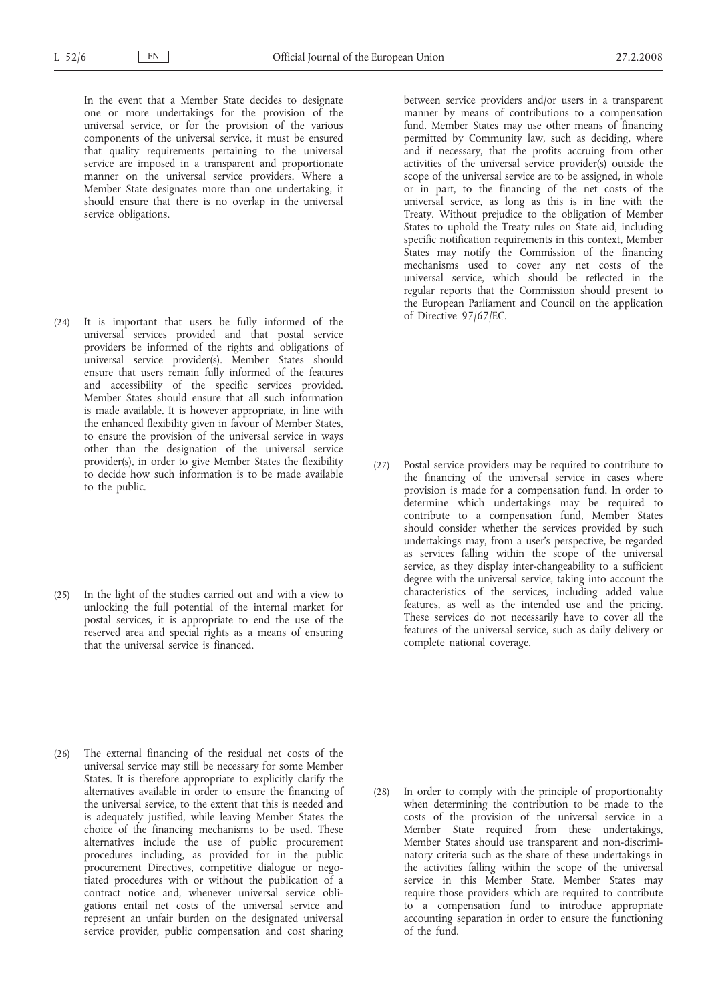In the event that a Member State decides to designate one or more undertakings for the provision of the universal service, or for the provision of the various components of the universal service, it must be ensured that quality requirements pertaining to the universal service are imposed in a transparent and proportionate manner on the universal service providers. Where a Member State designates more than one undertaking, it should ensure that there is no overlap in the universal service obligations.

- (24) It is important that users be fully informed of the universal services provided and that postal service providers be informed of the rights and obligations of universal service provider(s). Member States should ensure that users remain fully informed of the features and accessibility of the specific services provided. Member States should ensure that all such information is made available. It is however appropriate, in line with the enhanced flexibility given in favour of Member States, to ensure the provision of the universal service in ways other than the designation of the universal service provider(s), in order to give Member States the flexibility to decide how such information is to be made available to the public.
- (25) In the light of the studies carried out and with a view to unlocking the full potential of the internal market for postal services, it is appropriate to end the use of the reserved area and special rights as a means of ensuring that the universal service is financed.

between service providers and/or users in a transparent manner by means of contributions to a compensation fund. Member States may use other means of financing permitted by Community law, such as deciding, where and if necessary, that the profits accruing from other activities of the universal service provider(s) outside the scope of the universal service are to be assigned, in whole or in part, to the financing of the net costs of the universal service, as long as this is in line with the Treaty. Without prejudice to the obligation of Member States to uphold the Treaty rules on State aid, including specific notification requirements in this context, Member States may notify the Commission of the financing mechanisms used to cover any net costs of the universal service, which should be reflected in the regular reports that the Commission should present to the European Parliament and Council on the application of Directive 97/67/EC.

- (27) Postal service providers may be required to contribute to the financing of the universal service in cases where provision is made for a compensation fund. In order to determine which undertakings may be required to contribute to a compensation fund, Member States should consider whether the services provided by such undertakings may, from a user's perspective, be regarded as services falling within the scope of the universal service, as they display inter-changeability to a sufficient degree with the universal service, taking into account the characteristics of the services, including added value features, as well as the intended use and the pricing. These services do not necessarily have to cover all the features of the universal service, such as daily delivery or complete national coverage.
- (26) The external financing of the residual net costs of the universal service may still be necessary for some Member States. It is therefore appropriate to explicitly clarify the alternatives available in order to ensure the financing of the universal service, to the extent that this is needed and is adequately justified, while leaving Member States the choice of the financing mechanisms to be used. These alternatives include the use of public procurement procedures including, as provided for in the public procurement Directives, competitive dialogue or negotiated procedures with or without the publication of a contract notice and, whenever universal service obligations entail net costs of the universal service and represent an unfair burden on the designated universal service provider, public compensation and cost sharing
- (28) In order to comply with the principle of proportionality when determining the contribution to be made to the costs of the provision of the universal service in a Member State required from these undertakings, Member States should use transparent and non-discriminatory criteria such as the share of these undertakings in the activities falling within the scope of the universal service in this Member State. Member States may require those providers which are required to contribute to a compensation fund to introduce appropriate accounting separation in order to ensure the functioning of the fund.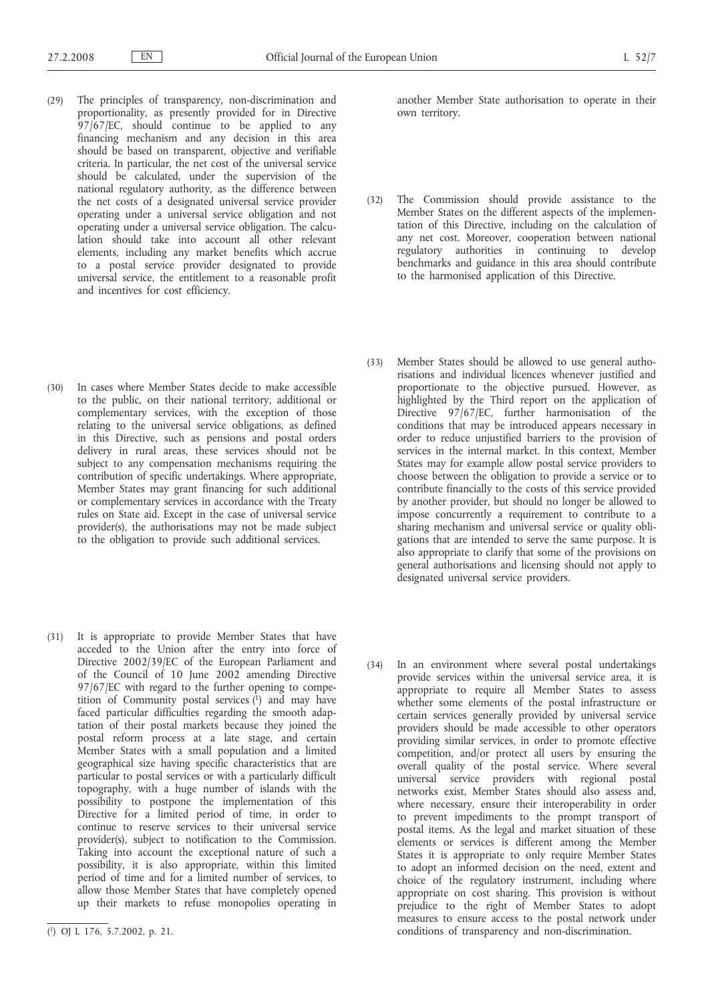- (29) The principles of transparency, non-discrimination and proportionality, as presently provided for in Directive 97/67/EC, should continue to be applied to any financing mechanism and any decision in this area should be based on transparent, objective and verifiable criteria. In particular, the net cost of the universal service should be calculated, under the supervision of the national regulatory authority, as the difference between the net costs of a designated universal service provider operating under a universal service obligation and not operating under a universal service obligation. The calculation should take into account all other relevant elements, including any market benefits which accrue to a postal service provider designated to provide universal service, the entitlement to a reasonable profit and incentives for cost efficiency.
- (30) In cases where Member States decide to make accessible to the public, on their national territory, additional or complementary services, with the exception of those relating to the universal service obligations, as defined in this Directive, such as pensions and postal orders delivery in rural areas, these services should not be subject to any compensation mechanisms requiring the contribution of specific undertakings. Where appropriate, Member States may grant financing for such additional or complementary services in accordance with the Treaty rules on State aid. Except in the case of universal service provider(s), the authorisations may not be made subject to the obligation to provide such additional services.
- (31) It is appropriate to provide Member States that have acceded to the Union after the entry into force of Directive 2002/39/EC of the European Parliament and of the Council of 10 June 2002 amending Directive 97/67/EC with regard to the further opening to competition of Community postal services  $(1)$  and may have faced particular difficulties regarding the smooth adaptation of their postal markets because they joined the postal reform process at a late stage, and certain Member States with a small population and a limited geographical size having specific characteristics that are particular to postal services or with a particularly difficult topography, with a huge number of islands with the possibility to postpone the implementation of this Directive for a limited period of time, in order to continue to reserve services to their universal service provider(s), subject to notification to the Commission. Taking into account the exceptional nature of such a possibility, it is also appropriate, within this limited period of time and for a limited number of services, to allow those Member States that have completely opened up their markets to refuse monopolies operating in

another Member State authorisation to operate in their own territory.

- (32) The Commission should provide assistance to the Member States on the different aspects of the implementation of this Directive, including on the calculation of any net cost. Moreover, cooperation between national regulatory authorities in continuing to develop benchmarks and guidance in this area should contribute to the harmonised application of this Directive.
- (33) Member States should be allowed to use general authorisations and individual licences whenever justified and proportionate to the objective pursued. However, as highlighted by the Third report on the application of Directive 97/67/EC, further harmonisation of the conditions that may be introduced appears necessary in order to reduce unjustified barriers to the provision of services in the internal market. In this context, Member States may for example allow postal service providers to choose between the obligation to provide a service or to contribute financially to the costs of this service provided by another provider, but should no longer be allowed to impose concurrently a requirement to contribute to a sharing mechanism and universal service or quality obligations that are intended to serve the same purpose. It is also appropriate to clarify that some of the provisions on general authorisations and licensing should not apply to designated universal service providers.
- (34) In an environment where several postal undertakings provide services within the universal service area, it is appropriate to require all Member States to assess whether some elements of the postal infrastructure or certain services generally provided by universal service providers should be made accessible to other operators providing similar services, in order to promote effective competition, and/or protect all users by ensuring the overall quality of the postal service. Where several universal service providers with regional postal networks exist, Member States should also assess and, where necessary, ensure their interoperability in order to prevent impediments to the prompt transport of postal items. As the legal and market situation of these elements or services is different among the Member States it is appropriate to only require Member States to adopt an informed decision on the need, extent and choice of the regulatory instrument, including where appropriate on cost sharing. This provision is without prejudice to the right of Member States to adopt measures to ensure access to the postal network under conditions of transparency and non-discrimination.

<sup>(</sup> 1) OJ L 176, 5.7.2002, p. 21.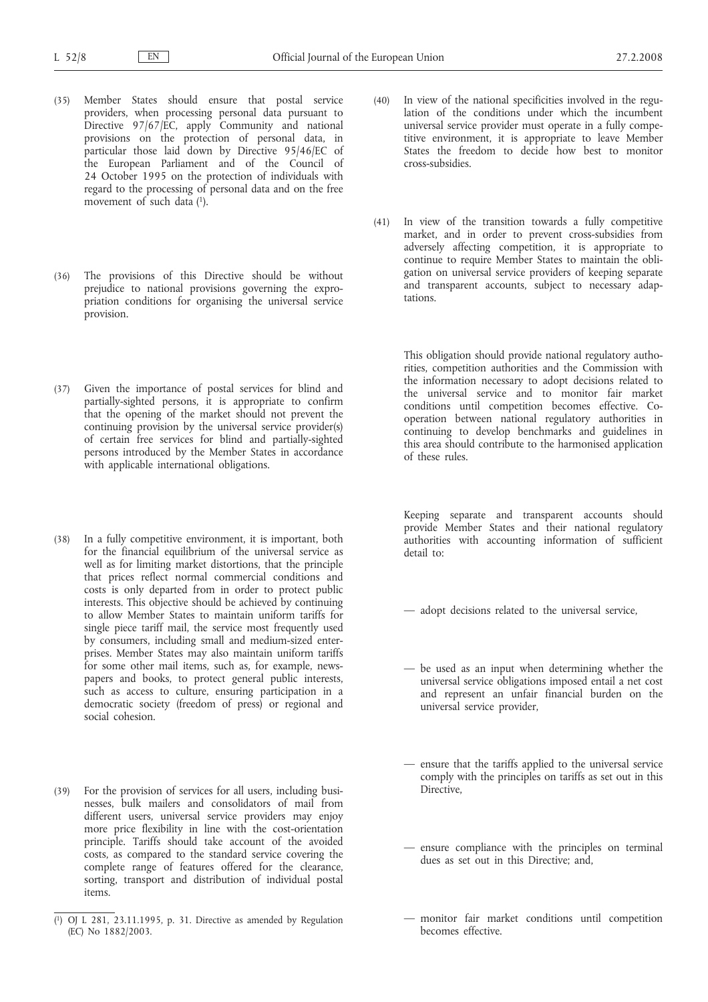- (35) Member States should ensure that postal service providers, when processing personal data pursuant to Directive 97/67/EC, apply Community and national provisions on the protection of personal data, in particular those laid down by Directive 95/46/EC of the European Parliament and of the Council of 24 October 1995 on the protection of individuals with regard to the processing of personal data and on the free movement of such data (1).
- (36) The provisions of this Directive should be without prejudice to national provisions governing the expropriation conditions for organising the universal service provision.
- (37) Given the importance of postal services for blind and partially-sighted persons, it is appropriate to confirm that the opening of the market should not prevent the continuing provision by the universal service provider(s) of certain free services for blind and partially-sighted persons introduced by the Member States in accordance with applicable international obligations.
- (38) In a fully competitive environment, it is important, both for the financial equilibrium of the universal service as well as for limiting market distortions, that the principle that prices reflect normal commercial conditions and costs is only departed from in order to protect public interests. This objective should be achieved by continuing to allow Member States to maintain uniform tariffs for single piece tariff mail, the service most frequently used by consumers, including small and medium-sized enterprises. Member States may also maintain uniform tariffs for some other mail items, such as, for example, newspapers and books, to protect general public interests, such as access to culture, ensuring participation in a democratic society (freedom of press) or regional and social cohesion.
- (39) For the provision of services for all users, including businesses, bulk mailers and consolidators of mail from different users, universal service providers may enjoy more price flexibility in line with the cost-orientation principle. Tariffs should take account of the avoided costs, as compared to the standard service covering the complete range of features offered for the clearance, sorting, transport and distribution of individual postal items.
- (40) In view of the national specificities involved in the regulation of the conditions under which the incumbent universal service provider must operate in a fully competitive environment, it is appropriate to leave Member States the freedom to decide how best to monitor cross-subsidies.
- (41) In view of the transition towards a fully competitive market, and in order to prevent cross-subsidies from adversely affecting competition, it is appropriate to continue to require Member States to maintain the obligation on universal service providers of keeping separate and transparent accounts, subject to necessary adaptations.

This obligation should provide national regulatory authorities, competition authorities and the Commission with the information necessary to adopt decisions related to the universal service and to monitor fair market conditions until competition becomes effective. Cooperation between national regulatory authorities in continuing to develop benchmarks and guidelines in this area should contribute to the harmonised application of these rules.

Keeping separate and transparent accounts should provide Member States and their national regulatory authorities with accounting information of sufficient detail to:

— adopt decisions related to the universal service,

- be used as an input when determining whether the universal service obligations imposed entail a net cost and represent an unfair financial burden on the universal service provider,
- ensure that the tariffs applied to the universal service comply with the principles on tariffs as set out in this Directive.
- ensure compliance with the principles on terminal dues as set out in this Directive; and,
- monitor fair market conditions until competition becomes effective.

<sup>(</sup>  $\overline{O}$  L 281, 23.11.1995, p. 31. Directive as amended by Regulation (EC) No 1882/2003.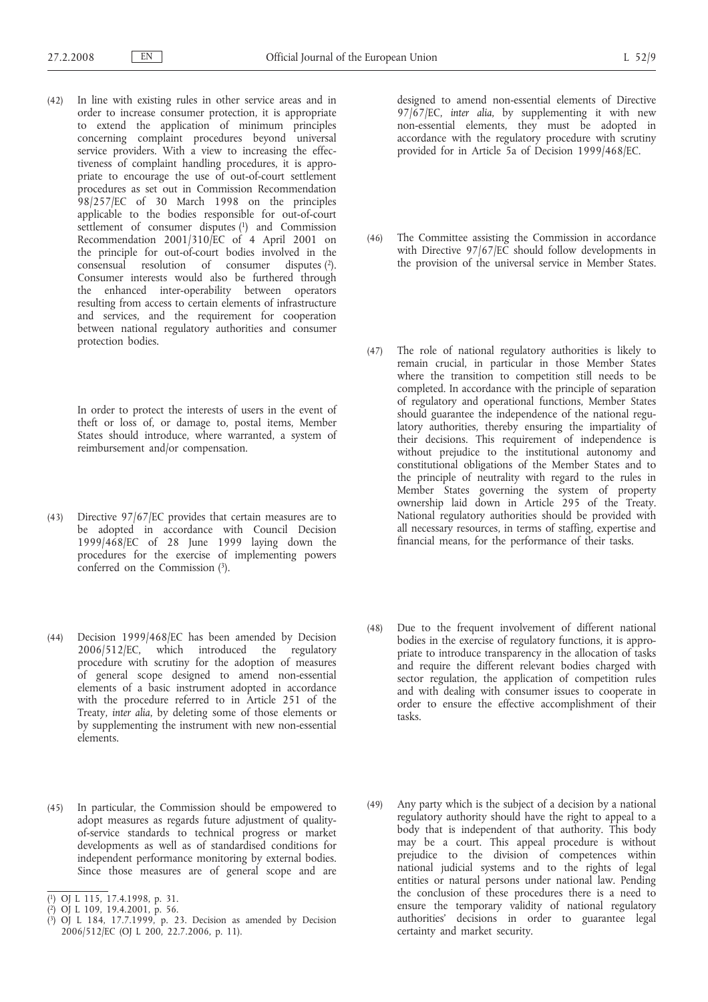(42) In line with existing rules in other service areas and in order to increase consumer protection, it is appropriate to extend the application of minimum principles concerning complaint procedures beyond universal service providers. With a view to increasing the effectiveness of complaint handling procedures, it is appropriate to encourage the use of out-of-court settlement procedures as set out in Commission Recommendation 98/257/EC of 30 March 1998 on the principles applicable to the bodies responsible for out-of-court settlement of consumer disputes (1) and Commission Recommendation 2001/310/EC of 4 April 2001 on the principle for out-of-court bodies involved in the consensual resolution of consumer disputes (2). Consumer interests would also be furthered through the enhanced inter-operability between operators resulting from access to certain elements of infrastructure and services, and the requirement for cooperation between national regulatory authorities and consumer protection bodies.

> In order to protect the interests of users in the event of theft or loss of, or damage to, postal items, Member States should introduce, where warranted, a system of reimbursement and/or compensation.

- (43) Directive 97/67/EC provides that certain measures are to be adopted in accordance with Council Decision 1999/468/EC of 28 June 1999 laying down the procedures for the exercise of implementing powers conferred on the Commission  $(3)$ .
- (44) Decision 1999/468/EC has been amended by Decision 2006/512/EC, which introduced the regulatory procedure with scrutiny for the adoption of measures of general scope designed to amend non-essential elements of a basic instrument adopted in accordance with the procedure referred to in Article 251 of the Treaty, *inter alia*, by deleting some of those elements or by supplementing the instrument with new non-essential elements.
- (45) In particular, the Commission should be empowered to adopt measures as regards future adjustment of qualityof-service standards to technical progress or market developments as well as of standardised conditions for independent performance monitoring by external bodies. Since those measures are of general scope and are

designed to amend non-essential elements of Directive 97/67/EC, *inter alia*, by supplementing it with new non-essential elements, they must be adopted in accordance with the regulatory procedure with scrutiny provided for in Article 5a of Decision 1999/468/EC.

- (46) The Committee assisting the Commission in accordance with Directive 97/67/EC should follow developments in the provision of the universal service in Member States.
- (47) The role of national regulatory authorities is likely to remain crucial, in particular in those Member States where the transition to competition still needs to be completed. In accordance with the principle of separation of regulatory and operational functions, Member States should guarantee the independence of the national regulatory authorities, thereby ensuring the impartiality of their decisions. This requirement of independence is without prejudice to the institutional autonomy and constitutional obligations of the Member States and to the principle of neutrality with regard to the rules in Member States governing the system of property ownership laid down in Article 295 of the Treaty. National regulatory authorities should be provided with all necessary resources, in terms of staffing, expertise and financial means, for the performance of their tasks.
- (48) Due to the frequent involvement of different national bodies in the exercise of regulatory functions, it is appropriate to introduce transparency in the allocation of tasks and require the different relevant bodies charged with sector regulation, the application of competition rules and with dealing with consumer issues to cooperate in order to ensure the effective accomplishment of their tasks.
- (49) Any party which is the subject of a decision by a national regulatory authority should have the right to appeal to a body that is independent of that authority. This body may be a court. This appeal procedure is without prejudice to the division of competences within national judicial systems and to the rights of legal entities or natural persons under national law. Pending the conclusion of these procedures there is a need to ensure the temporary validity of national regulatory authorities' decisions in order to guarantee legal certainty and market security.

<sup>(</sup> 1) OJ L 115, 17.4.1998, p. 31.

<sup>(</sup> 2) OJ L 109, 19.4.2001, p. 56.

<sup>(</sup> 3) OJ L 184, 17.7.1999, p. 23. Decision as amended by Decision 2006/512/EC (OJ L 200, 22.7.2006, p. 11).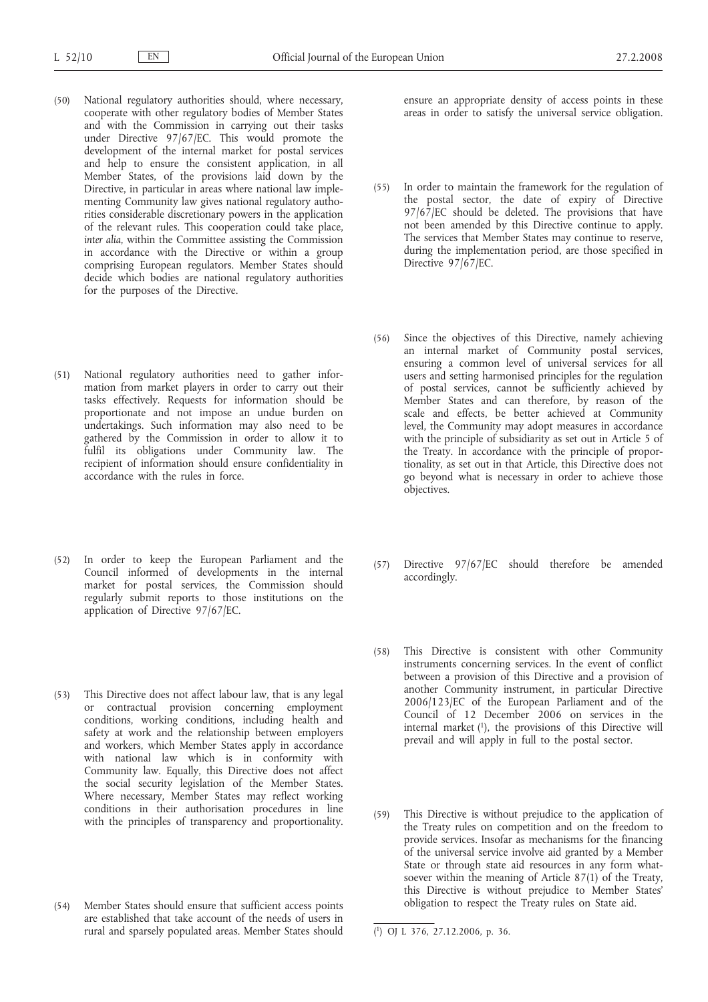- (50) National regulatory authorities should, where necessary, cooperate with other regulatory bodies of Member States and with the Commission in carrying out their tasks under Directive 97/67/EC. This would promote the development of the internal market for postal services and help to ensure the consistent application, in all Member States, of the provisions laid down by the Directive, in particular in areas where national law implementing Community law gives national regulatory authorities considerable discretionary powers in the application of the relevant rules. This cooperation could take place, *inter alia*, within the Committee assisting the Commission in accordance with the Directive or within a group comprising European regulators. Member States should decide which bodies are national regulatory authorities for the purposes of the Directive.
- (51) National regulatory authorities need to gather information from market players in order to carry out their tasks effectively. Requests for information should be proportionate and not impose an undue burden on undertakings. Such information may also need to be gathered by the Commission in order to allow it to fulfil its obligations under Community law. The recipient of information should ensure confidentiality in accordance with the rules in force.
- (52) In order to keep the European Parliament and the Council informed of developments in the internal market for postal services, the Commission should regularly submit reports to those institutions on the application of Directive 97/67/EC.
- (53) This Directive does not affect labour law, that is any legal or contractual provision concerning employment conditions, working conditions, including health and safety at work and the relationship between employers and workers, which Member States apply in accordance with national law which is in conformity with Community law. Equally, this Directive does not affect the social security legislation of the Member States. Where necessary, Member States may reflect working conditions in their authorisation procedures in line with the principles of transparency and proportionality.
- (54) Member States should ensure that sufficient access points are established that take account of the needs of users in rural and sparsely populated areas. Member States should

ensure an appropriate density of access points in these areas in order to satisfy the universal service obligation.

- (55) In order to maintain the framework for the regulation of the postal sector, the date of expiry of Directive  $97/67/EC$  should be deleted. The provisions that have not been amended by this Directive continue to apply. The services that Member States may continue to reserve, during the implementation period, are those specified in Directive 97/67/EC.
- (56) Since the objectives of this Directive, namely achieving an internal market of Community postal services, ensuring a common level of universal services for all users and setting harmonised principles for the regulation of postal services, cannot be sufficiently achieved by Member States and can therefore, by reason of the scale and effects, be better achieved at Community level, the Community may adopt measures in accordance with the principle of subsidiarity as set out in Article 5 of the Treaty. In accordance with the principle of proportionality, as set out in that Article, this Directive does not go beyond what is necessary in order to achieve those objectives.
- (57) Directive 97/67/EC should therefore be amended accordingly.
- (58) This Directive is consistent with other Community instruments concerning services. In the event of conflict between a provision of this Directive and a provision of another Community instrument, in particular Directive 2006/123/EC of the European Parliament and of the Council of 12 December 2006 on services in the internal market  $(1)$ , the provisions of this Directive will prevail and will apply in full to the postal sector.
- (59) This Directive is without prejudice to the application of the Treaty rules on competition and on the freedom to provide services. Insofar as mechanisms for the financing of the universal service involve aid granted by a Member State or through state aid resources in any form whatsoever within the meaning of Article 87(1) of the Treaty, this Directive is without prejudice to Member States' obligation to respect the Treaty rules on State aid.

<sup>(</sup> 1) OJ L 376, 27.12.2006, p. 36.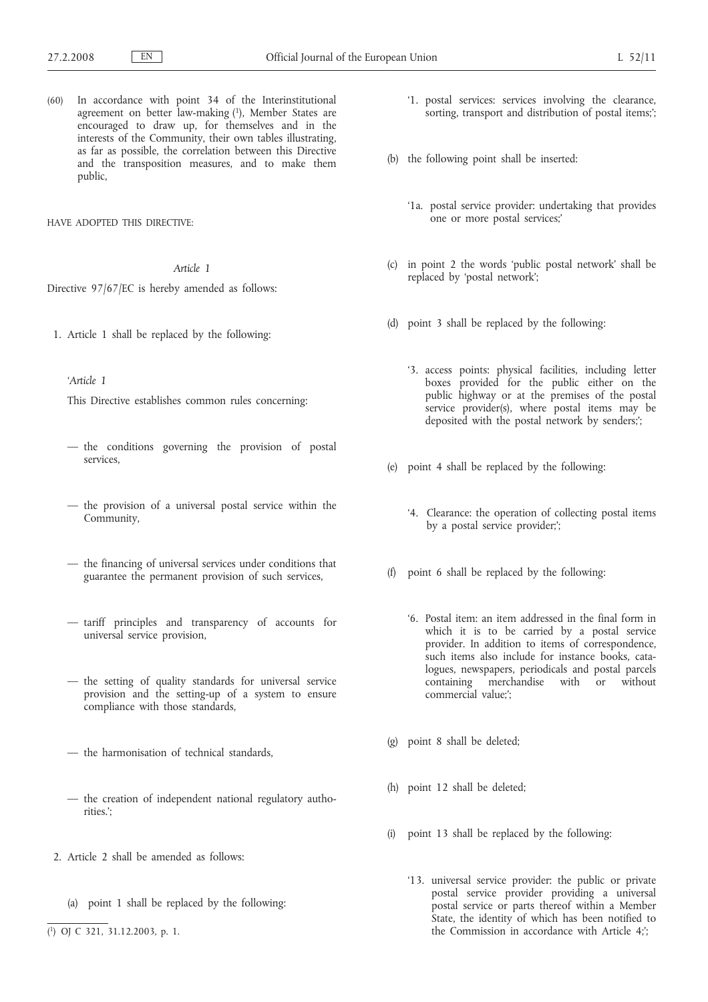(60) In accordance with point 34 of the Interinstitutional agreement on better law-making (1), Member States are encouraged to draw up, for themselves and in the interests of the Community, their own tables illustrating, as far as possible, the correlation between this Directive and the transposition measures, and to make them public,

HAVE ADOPTED THIS DIRECTIVE:

*Article 1*

Directive 97/67/EC is hereby amended as follows:

1. Article 1 shall be replaced by the following:

*'Article 1*

This Directive establishes common rules concerning:

- the conditions governing the provision of postal services,
- the provision of a universal postal service within the Community,
- the financing of universal services under conditions that guarantee the permanent provision of such services,
- tariff principles and transparency of accounts for universal service provision,
- the setting of quality standards for universal service provision and the setting-up of a system to ensure compliance with those standards,
- the harmonisation of technical standards,
- the creation of independent national regulatory authorities.';
- 2. Article 2 shall be amended as follows:
	- (a) point 1 shall be replaced by the following:
- ( 1) OJ C 321, 31.12.2003, p. 1.
- '1. postal services: services involving the clearance, sorting, transport and distribution of postal items;';
- (b) the following point shall be inserted:
	- '1a. postal service provider: undertaking that provides one or more postal services;'
- (c) in point 2 the words 'public postal network' shall be replaced by 'postal network';
- (d) point 3 shall be replaced by the following:
	- '3. access points: physical facilities, including letter boxes provided for the public either on the public highway or at the premises of the postal service provider(s), where postal items may be deposited with the postal network by senders;';
- (e) point 4 shall be replaced by the following:
	- '4. Clearance: the operation of collecting postal items by a postal service provider;';
- (f) point 6 shall be replaced by the following:
	- '6. Postal item: an item addressed in the final form in which it is to be carried by a postal service provider. In addition to items of correspondence, such items also include for instance books, catalogues, newspapers, periodicals and postal parcels containing merchandise with or without commercial value;';
- (g) point 8 shall be deleted;
- (h) point 12 shall be deleted;
- (i) point 13 shall be replaced by the following:
	- '13. universal service provider: the public or private postal service provider providing a universal postal service or parts thereof within a Member State, the identity of which has been notified to the Commission in accordance with Article 4;';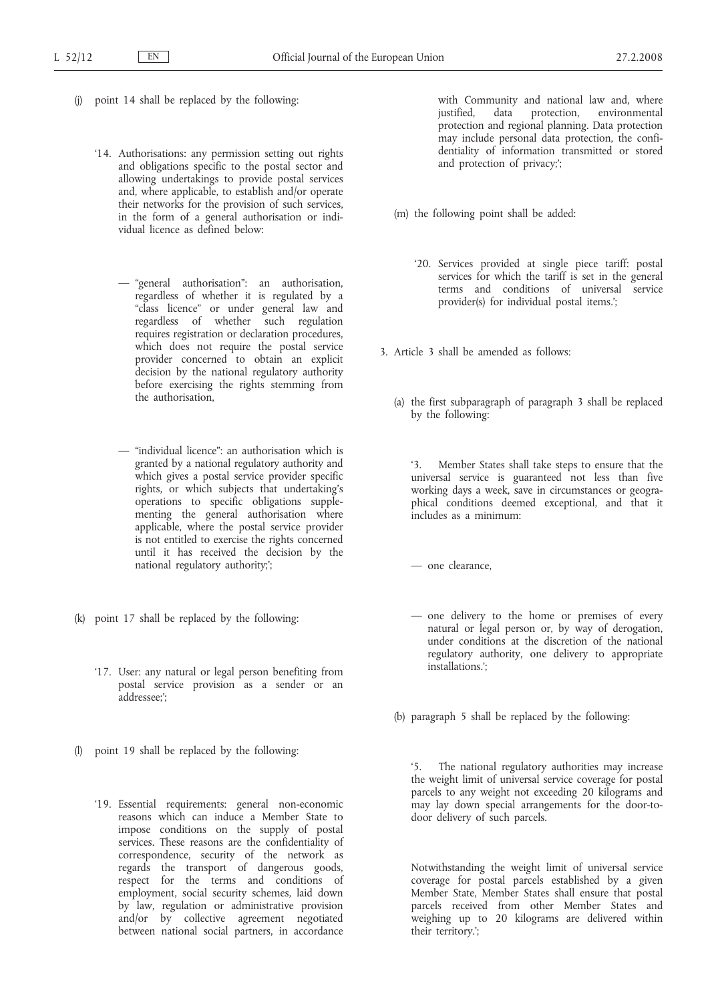- (j) point 14 shall be replaced by the following:
	- '14. Authorisations: any permission setting out rights and obligations specific to the postal sector and allowing undertakings to provide postal services and, where applicable, to establish and/or operate their networks for the provision of such services, in the form of a general authorisation or individual licence as defined below:
		- "general authorisation": an authorisation, regardless of whether it is regulated by a "class licence" or under general law and regardless of whether such regulation requires registration or declaration procedures, which does not require the postal service provider concerned to obtain an explicit decision by the national regulatory authority before exercising the rights stemming from the authorisation,
		- "individual licence": an authorisation which is granted by a national regulatory authority and which gives a postal service provider specific rights, or which subjects that undertaking's operations to specific obligations supplementing the general authorisation where applicable, where the postal service provider is not entitled to exercise the rights concerned until it has received the decision by the national regulatory authority;';
- (k) point 17 shall be replaced by the following:
	- '17. User: any natural or legal person benefiting from postal service provision as a sender or an addressee;';
- (l) point 19 shall be replaced by the following:
	- '19. Essential requirements: general non-economic reasons which can induce a Member State to impose conditions on the supply of postal services. These reasons are the confidentiality of correspondence, security of the network as regards the transport of dangerous goods, respect for the terms and conditions of employment, social security schemes, laid down by law, regulation or administrative provision and/or by collective agreement negotiated between national social partners, in accordance

with Community and national law and, where justified, data protection, environmental protection and regional planning. Data protection may include personal data protection, the confidentiality of information transmitted or stored and protection of privacy;';

- (m) the following point shall be added:
	- '20. Services provided at single piece tariff: postal services for which the tariff is set in the general terms and conditions of universal service provider(s) for individual postal items.';
- 3. Article 3 shall be amended as follows:
	- (a) the first subparagraph of paragraph 3 shall be replaced by the following:

'3. Member States shall take steps to ensure that the universal service is guaranteed not less than five working days a week, save in circumstances or geographical conditions deemed exceptional, and that it includes as a minimum:

— one clearance,

— one delivery to the home or premises of every natural or legal person or, by way of derogation, under conditions at the discretion of the national regulatory authority, one delivery to appropriate installations.';

(b) paragraph 5 shall be replaced by the following:

'5. The national regulatory authorities may increase the weight limit of universal service coverage for postal parcels to any weight not exceeding 20 kilograms and may lay down special arrangements for the door-todoor delivery of such parcels.

Notwithstanding the weight limit of universal service coverage for postal parcels established by a given Member State, Member States shall ensure that postal parcels received from other Member States and weighing up to 20 kilograms are delivered within their territory.';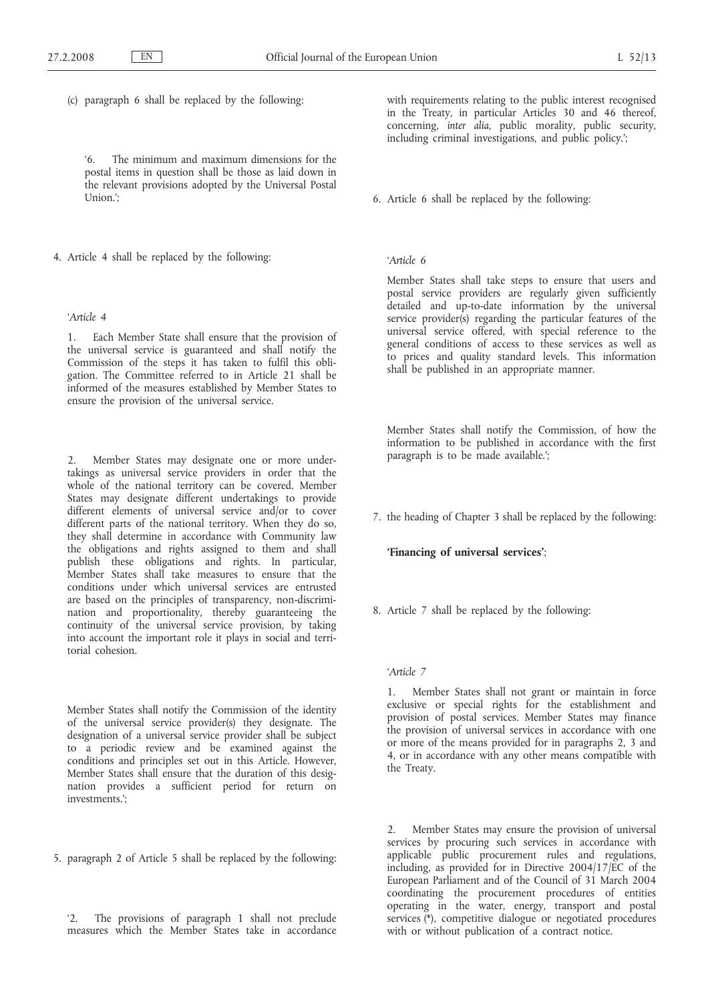(c) paragraph 6 shall be replaced by the following:

'6. The minimum and maximum dimensions for the postal items in question shall be those as laid down in the relevant provisions adopted by the Universal Postal Union.';

4. Article 4 shall be replaced by the following:

#### *'Article 4*

1. Each Member State shall ensure that the provision of the universal service is guaranteed and shall notify the Commission of the steps it has taken to fulfil this obligation. The Committee referred to in Article 21 shall be informed of the measures established by Member States to ensure the provision of the universal service.

2. Member States may designate one or more undertakings as universal service providers in order that the whole of the national territory can be covered. Member States may designate different undertakings to provide different elements of universal service and/or to cover different parts of the national territory. When they do so, they shall determine in accordance with Community law the obligations and rights assigned to them and shall publish these obligations and rights. In particular, Member States shall take measures to ensure that the conditions under which universal services are entrusted are based on the principles of transparency, non-discrimination and proportionality, thereby guaranteeing the continuity of the universal service provision, by taking into account the important role it plays in social and territorial cohesion.

Member States shall notify the Commission of the identity of the universal service provider(s) they designate. The designation of a universal service provider shall be subject to a periodic review and be examined against the conditions and principles set out in this Article. However, Member States shall ensure that the duration of this designation provides a sufficient period for return on investments.';

5. paragraph 2 of Article 5 shall be replaced by the following:

'2. The provisions of paragraph 1 shall not preclude measures which the Member States take in accordance with requirements relating to the public interest recognised in the Treaty, in particular Articles 30 and 46 thereof, concerning, *inter alia*, public morality, public security, including criminal investigations, and public policy.';

6. Article 6 shall be replaced by the following:

### *'Article 6*

Member States shall take steps to ensure that users and postal service providers are regularly given sufficiently detailed and up-to-date information by the universal service provider(s) regarding the particular features of the universal service offered, with special reference to the general conditions of access to these services as well as to prices and quality standard levels. This information shall be published in an appropriate manner.

Member States shall notify the Commission, of how the information to be published in accordance with the first paragraph is to be made available.';

7. the heading of Chapter 3 shall be replaced by the following:

# **'Financing of universal services'**;

8. Article 7 shall be replaced by the following:

## *'Article 7*

1. Member States shall not grant or maintain in force exclusive or special rights for the establishment and provision of postal services. Member States may finance the provision of universal services in accordance with one or more of the means provided for in paragraphs 2, 3 and 4, or in accordance with any other means compatible with the Treaty.

2. Member States may ensure the provision of universal services by procuring such services in accordance with applicable public procurement rules and regulations, including, as provided for in Directive 2004/17/EC of the European Parliament and of the Council of 31 March 2004 coordinating the procurement procedures of entities operating in the water, energy, transport and postal services (\*), competitive dialogue or negotiated procedures with or without publication of a contract notice.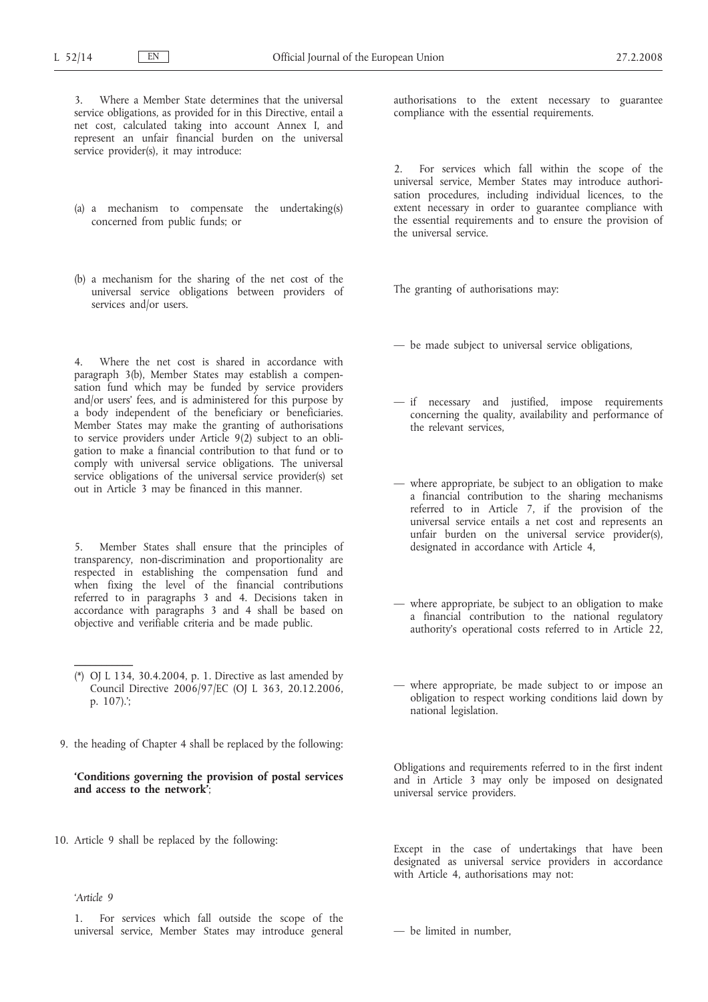Where a Member State determines that the universal service obligations, as provided for in this Directive, entail a net cost, calculated taking into account Annex I, and represent an unfair financial burden on the universal service provider(s), it may introduce:

- (a) a mechanism to compensate the undertaking(s) concerned from public funds; or
- (b) a mechanism for the sharing of the net cost of the universal service obligations between providers of services and/or users.

4. Where the net cost is shared in accordance with paragraph 3(b), Member States may establish a compensation fund which may be funded by service providers and/or users' fees, and is administered for this purpose by a body independent of the beneficiary or beneficiaries. Member States may make the granting of authorisations to service providers under Article 9(2) subject to an obligation to make a financial contribution to that fund or to comply with universal service obligations. The universal service obligations of the universal service provider(s) set out in Article 3 may be financed in this manner.

5. Member States shall ensure that the principles of transparency, non-discrimination and proportionality are respected in establishing the compensation fund and when fixing the level of the financial contributions referred to in paragraphs 3 and 4. Decisions taken in accordance with paragraphs 3 and 4 shall be based on objective and verifiable criteria and be made public.

9. the heading of Chapter 4 shall be replaced by the following:

**'Conditions governing the provision of postal services and access to the network'**;

10. Article 9 shall be replaced by the following:

#### *'Article 9*

**\_\_\_\_\_\_\_\_\_\_\_**

1. For services which fall outside the scope of the universal service, Member States may introduce general authorisations to the extent necessary to guarantee compliance with the essential requirements.

2. For services which fall within the scope of the universal service, Member States may introduce authorisation procedures, including individual licences, to the extent necessary in order to guarantee compliance with the essential requirements and to ensure the provision of the universal service.

The granting of authorisations may:

- be made subject to universal service obligations,
- if necessary and justified, impose requirements concerning the quality, availability and performance of the relevant services,
- where appropriate, be subject to an obligation to make a financial contribution to the sharing mechanisms referred to in Article 7, if the provision of the universal service entails a net cost and represents an unfair burden on the universal service provider(s), designated in accordance with Article 4,
- where appropriate, be subject to an obligation to make a financial contribution to the national regulatory authority's operational costs referred to in Article 22,
- where appropriate, be made subject to or impose an obligation to respect working conditions laid down by national legislation.

Obligations and requirements referred to in the first indent and in Article 3 may only be imposed on designated universal service providers.

Except in the case of undertakings that have been designated as universal service providers in accordance with Article 4, authorisations may not:

— be limited in number,

<sup>(\*)</sup> OJ L 134, 30.4.2004, p. 1. Directive as last amended by Council Directive 2006/97/EC (OJ L 363, 20.12.2006, p. 107).';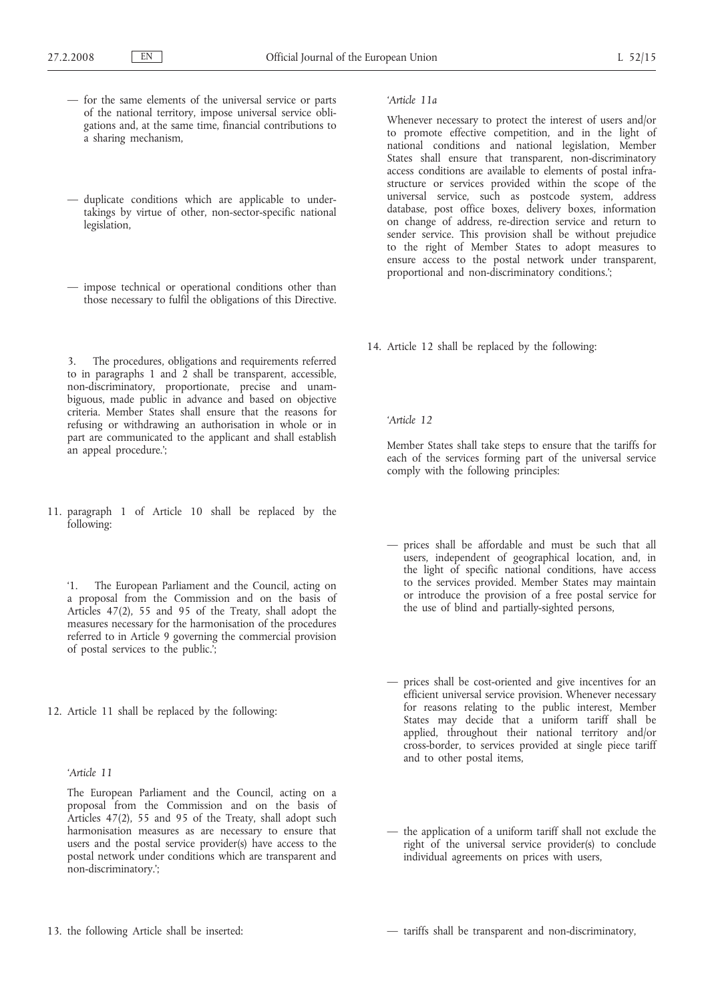- for the same elements of the universal service or parts of the national territory, impose universal service obligations and, at the same time, financial contributions to a sharing mechanism,
- duplicate conditions which are applicable to undertakings by virtue of other, non-sector-specific national legislation,
- impose technical or operational conditions other than those necessary to fulfil the obligations of this Directive.

3. The procedures, obligations and requirements referred to in paragraphs 1 and 2 shall be transparent, accessible, non-discriminatory, proportionate, precise and unambiguous, made public in advance and based on objective criteria. Member States shall ensure that the reasons for refusing or withdrawing an authorisation in whole or in part are communicated to the applicant and shall establish an appeal procedure.';

11. paragraph 1 of Article 10 shall be replaced by the following:

'1. The European Parliament and the Council, acting on a proposal from the Commission and on the basis of Articles 47(2), 55 and 95 of the Treaty, shall adopt the measures necessary for the harmonisation of the procedures referred to in Article 9 governing the commercial provision of postal services to the public.';

12. Article 11 shall be replaced by the following:

### *'Article 11*

The European Parliament and the Council, acting on a proposal from the Commission and on the basis of Articles 47(2), 55 and 95 of the Treaty, shall adopt such harmonisation measures as are necessary to ensure that users and the postal service provider(s) have access to the postal network under conditions which are transparent and non-discriminatory.';

# *'Article 11a*

Whenever necessary to protect the interest of users and/or to promote effective competition, and in the light of national conditions and national legislation, Member States shall ensure that transparent, non-discriminatory access conditions are available to elements of postal infrastructure or services provided within the scope of the universal service, such as postcode system, address database, post office boxes, delivery boxes, information on change of address, re-direction service and return to sender service. This provision shall be without prejudice to the right of Member States to adopt measures to ensure access to the postal network under transparent, proportional and non-discriminatory conditions.';

14. Article 12 shall be replaced by the following:

*'Article 12*

Member States shall take steps to ensure that the tariffs for each of the services forming part of the universal service comply with the following principles:

- prices shall be affordable and must be such that all users, independent of geographical location, and, in the light of specific national conditions, have access to the services provided. Member States may maintain or introduce the provision of a free postal service for the use of blind and partially-sighted persons,
- prices shall be cost-oriented and give incentives for an efficient universal service provision. Whenever necessary for reasons relating to the public interest, Member States may decide that a uniform tariff shall be applied, throughout their national territory and/or cross-border, to services provided at single piece tariff and to other postal items,
- the application of a uniform tariff shall not exclude the right of the universal service provider(s) to conclude individual agreements on prices with users,

13. the following Article shall be inserted: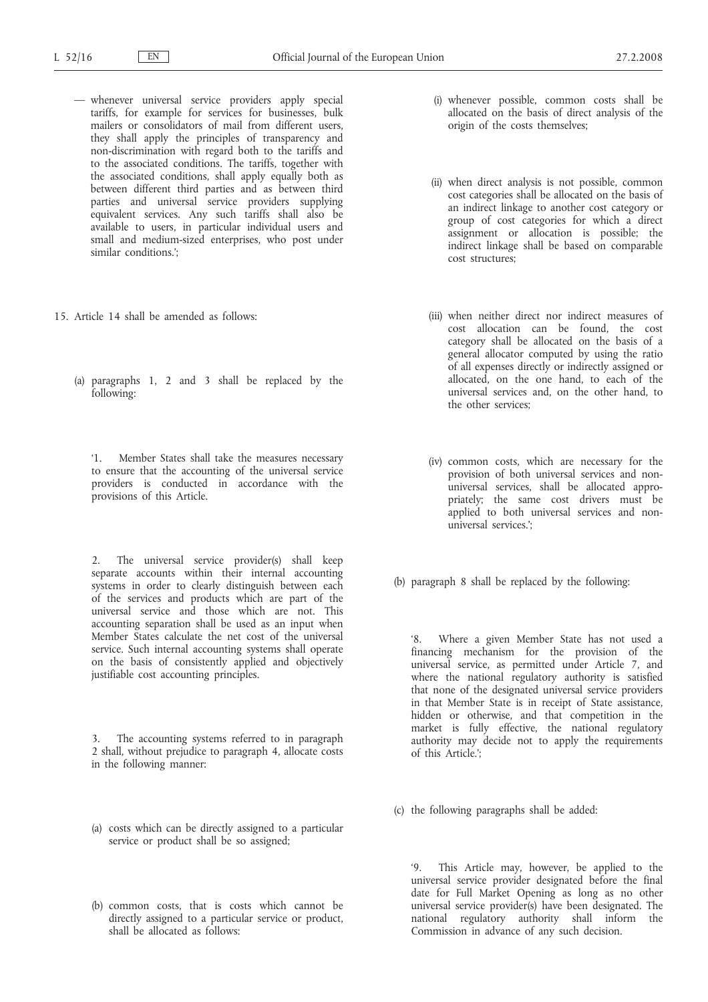- whenever universal service providers apply special tariffs, for example for services for businesses, bulk mailers or consolidators of mail from different users, they shall apply the principles of transparency and non-discrimination with regard both to the tariffs and to the associated conditions. The tariffs, together with the associated conditions, shall apply equally both as between different third parties and as between third parties and universal service providers supplying equivalent services. Any such tariffs shall also be available to users, in particular individual users and small and medium-sized enterprises, who post under similar conditions.';
- 15. Article 14 shall be amended as follows:
	- (a) paragraphs 1, 2 and 3 shall be replaced by the following:

'1. Member States shall take the measures necessary to ensure that the accounting of the universal service providers is conducted in accordance with the provisions of this Article.

2. The universal service provider(s) shall keep separate accounts within their internal accounting systems in order to clearly distinguish between each of the services and products which are part of the universal service and those which are not. This accounting separation shall be used as an input when Member States calculate the net cost of the universal service. Such internal accounting systems shall operate on the basis of consistently applied and objectively justifiable cost accounting principles.

3. The accounting systems referred to in paragraph 2 shall, without prejudice to paragraph 4, allocate costs in the following manner:

- (a) costs which can be directly assigned to a particular service or product shall be so assigned;
- (b) common costs, that is costs which cannot be directly assigned to a particular service or product, shall be allocated as follows:
- (i) whenever possible, common costs shall be allocated on the basis of direct analysis of the origin of the costs themselves;
- (ii) when direct analysis is not possible, common cost categories shall be allocated on the basis of an indirect linkage to another cost category or group of cost categories for which a direct assignment or allocation is possible; the indirect linkage shall be based on comparable cost structures;
- (iii) when neither direct nor indirect measures of cost allocation can be found, the cost category shall be allocated on the basis of a general allocator computed by using the ratio of all expenses directly or indirectly assigned or allocated, on the one hand, to each of the universal services and, on the other hand, to the other services;
- (iv) common costs, which are necessary for the provision of both universal services and nonuniversal services, shall be allocated appropriately; the same cost drivers must be applied to both universal services and nonuniversal services.';
- (b) paragraph 8 shall be replaced by the following:

'8. Where a given Member State has not used a financing mechanism for the provision of the universal service, as permitted under Article 7, and where the national regulatory authority is satisfied that none of the designated universal service providers in that Member State is in receipt of State assistance, hidden or otherwise, and that competition in the market is fully effective, the national regulatory authority may decide not to apply the requirements of this Article.';

(c) the following paragraphs shall be added:

'9. This Article may, however, be applied to the universal service provider designated before the final date for Full Market Opening as long as no other universal service provider(s) have been designated. The national regulatory authority shall inform the Commission in advance of any such decision.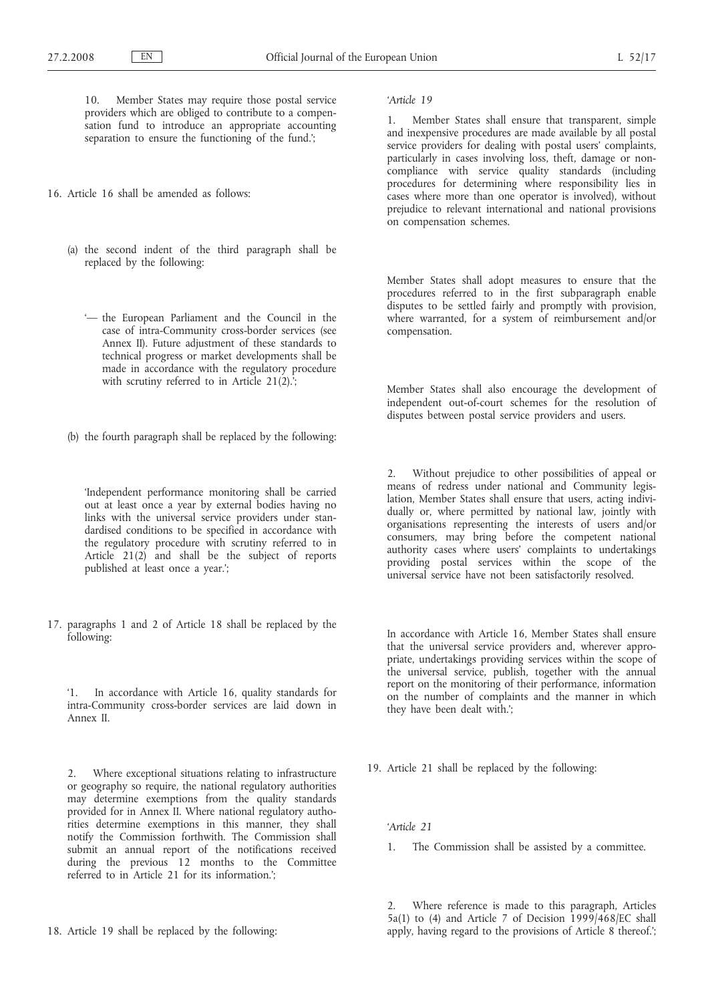10. Member States may require those postal service providers which are obliged to contribute to a compensation fund to introduce an appropriate accounting separation to ensure the functioning of the fund.';

- 16. Article 16 shall be amended as follows:
	- (a) the second indent of the third paragraph shall be replaced by the following:
		- '— the European Parliament and the Council in the case of intra-Community cross-border services (see Annex II). Future adjustment of these standards to technical progress or market developments shall be made in accordance with the regulatory procedure with scrutiny referred to in Article 21(2).<sup>'</sup>;
	- (b) the fourth paragraph shall be replaced by the following:

'Independent performance monitoring shall be carried out at least once a year by external bodies having no links with the universal service providers under standardised conditions to be specified in accordance with the regulatory procedure with scrutiny referred to in Article  $21(2)$  and shall be the subject of reports published at least once a year.';

- 17. paragraphs 1 and 2 of Article 18 shall be replaced by the following:
	- '1. In accordance with Article 16, quality standards for intra-Community cross-border services are laid down in Annex II.

2. Where exceptional situations relating to infrastructure or geography so require, the national regulatory authorities may determine exemptions from the quality standards provided for in Annex II. Where national regulatory authorities determine exemptions in this manner, they shall notify the Commission forthwith. The Commission shall submit an annual report of the notifications received during the previous 12 months to the Committee referred to in Article 21 for its information.';

## *'Article 19*

1. Member States shall ensure that transparent, simple and inexpensive procedures are made available by all postal service providers for dealing with postal users' complaints, particularly in cases involving loss, theft, damage or noncompliance with service quality standards (including procedures for determining where responsibility lies in cases where more than one operator is involved), without prejudice to relevant international and national provisions on compensation schemes.

Member States shall adopt measures to ensure that the procedures referred to in the first subparagraph enable disputes to be settled fairly and promptly with provision, where warranted, for a system of reimbursement and/or compensation.

Member States shall also encourage the development of independent out-of-court schemes for the resolution of disputes between postal service providers and users.

2. Without prejudice to other possibilities of appeal or means of redress under national and Community legislation, Member States shall ensure that users, acting individually or, where permitted by national law, jointly with organisations representing the interests of users and/or consumers, may bring before the competent national authority cases where users' complaints to undertakings providing postal services within the scope of the universal service have not been satisfactorily resolved.

In accordance with Article 16, Member States shall ensure that the universal service providers and, wherever appropriate, undertakings providing services within the scope of the universal service, publish, together with the annual report on the monitoring of their performance, information on the number of complaints and the manner in which they have been dealt with.';

19. Article 21 shall be replaced by the following:

*'Article 21*

1. The Commission shall be assisted by a committee.

2. Where reference is made to this paragraph, Articles 5a(1) to (4) and Article 7 of Decision  $1999/468$  [EC shall apply, having regard to the provisions of Article 8 thereof.';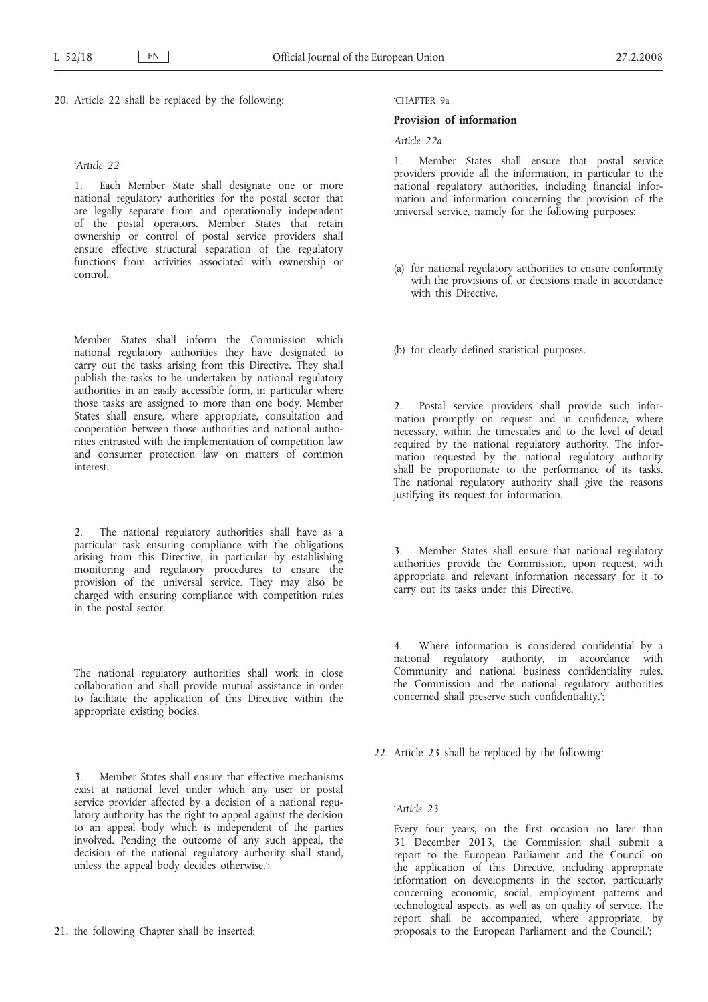20. Article 22 shall be replaced by the following:

## *'Article 22*

1. Each Member State shall designate one or more national regulatory authorities for the postal sector that are legally separate from and operationally independent of the postal operators. Member States that retain ownership or control of postal service providers shall ensure effective structural separation of the regulatory functions from activities associated with ownership or control.

Member States shall inform the Commission which national regulatory authorities they have designated to carry out the tasks arising from this Directive. They shall publish the tasks to be undertaken by national regulatory authorities in an easily accessible form, in particular where those tasks are assigned to more than one body. Member States shall ensure, where appropriate, consultation and cooperation between those authorities and national authorities entrusted with the implementation of competition law and consumer protection law on matters of common interest.

2. The national regulatory authorities shall have as a particular task ensuring compliance with the obligations arising from this Directive, in particular by establishing monitoring and regulatory procedures to ensure the provision of the universal service. They may also be charged with ensuring compliance with competition rules in the postal sector.

The national regulatory authorities shall work in close collaboration and shall provide mutual assistance in order to facilitate the application of this Directive within the appropriate existing bodies.

3. Member States shall ensure that effective mechanisms exist at national level under which any user or postal service provider affected by a decision of a national regulatory authority has the right to appeal against the decision to an appeal body which is independent of the parties involved. Pending the outcome of any such appeal, the decision of the national regulatory authority shall stand, unless the appeal body decides otherwise.';

#### 'CHAPTER 9a

#### **Provision of information**

## *Article 22a*

1. Member States shall ensure that postal service providers provide all the information, in particular to the national regulatory authorities, including financial information and information concerning the provision of the universal service, namely for the following purposes:

(a) for national regulatory authorities to ensure conformity with the provisions of, or decisions made in accordance with this Directive,

(b) for clearly defined statistical purposes.

2. Postal service providers shall provide such information promptly on request and in confidence, where necessary, within the timescales and to the level of detail required by the national regulatory authority. The information requested by the national regulatory authority shall be proportionate to the performance of its tasks. The national regulatory authority shall give the reasons justifying its request for information.

Member States shall ensure that national regulatory authorities provide the Commission, upon request, with appropriate and relevant information necessary for it to carry out its tasks under this Directive.

4. Where information is considered confidential by a national regulatory authority, in accordance with Community and national business confidentiality rules, the Commission and the national regulatory authorities concerned shall preserve such confidentiality.';

22. Article 23 shall be replaced by the following:

### *'Article 23*

Every four years, on the first occasion no later than 31 December 2013, the Commission shall submit a report to the European Parliament and the Council on the application of this Directive, including appropriate information on developments in the sector, particularly concerning economic, social, employment patterns and technological aspects, as well as on quality of service. The report shall be accompanied, where appropriate, by proposals to the European Parliament and the Council.';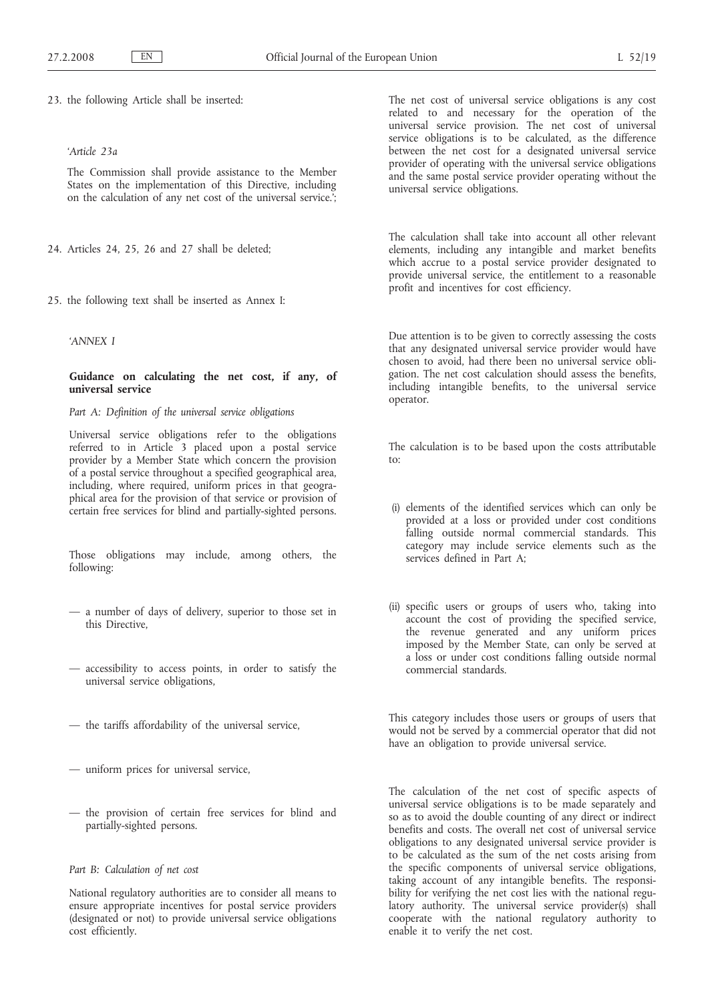23. the following Article shall be inserted:

# *'Article 23a*

The Commission shall provide assistance to the Member States on the implementation of this Directive, including on the calculation of any net cost of the universal service.';

24. Articles 24, 25, 26 and 27 shall be deleted;

25. the following text shall be inserted as Annex I:

#### *'ANNEX I*

**Guidance on calculating the net cost, if any, of universal service**

*Part A: Definition of the universal service obligations*

Universal service obligations refer to the obligations referred to in Article 3 placed upon a postal service provider by a Member State which concern the provision of a postal service throughout a specified geographical area, including, where required, uniform prices in that geographical area for the provision of that service or provision of certain free services for blind and partially-sighted persons.

Those obligations may include, among others, the following:

- a number of days of delivery, superior to those set in this Directive,
- accessibility to access points, in order to satisfy the universal service obligations,
- the tariffs affordability of the universal service,
- uniform prices for universal service,
- the provision of certain free services for blind and partially-sighted persons.

### *Part B: Calculation of net cost*

National regulatory authorities are to consider all means to ensure appropriate incentives for postal service providers (designated or not) to provide universal service obligations cost efficiently.

The net cost of universal service obligations is any cost related to and necessary for the operation of the universal service provision. The net cost of universal service obligations is to be calculated, as the difference between the net cost for a designated universal service provider of operating with the universal service obligations and the same postal service provider operating without the universal service obligations.

The calculation shall take into account all other relevant elements, including any intangible and market benefits which accrue to a postal service provider designated to provide universal service, the entitlement to a reasonable profit and incentives for cost efficiency.

Due attention is to be given to correctly assessing the costs that any designated universal service provider would have chosen to avoid, had there been no universal service obligation. The net cost calculation should assess the benefits, including intangible benefits, to the universal service operator.

The calculation is to be based upon the costs attributable to:

- (i) elements of the identified services which can only be provided at a loss or provided under cost conditions falling outside normal commercial standards. This category may include service elements such as the services defined in Part A;
- (ii) specific users or groups of users who, taking into account the cost of providing the specified service, the revenue generated and any uniform prices imposed by the Member State, can only be served at a loss or under cost conditions falling outside normal commercial standards.

This category includes those users or groups of users that would not be served by a commercial operator that did not have an obligation to provide universal service.

The calculation of the net cost of specific aspects of universal service obligations is to be made separately and so as to avoid the double counting of any direct or indirect benefits and costs. The overall net cost of universal service obligations to any designated universal service provider is to be calculated as the sum of the net costs arising from the specific components of universal service obligations, taking account of any intangible benefits. The responsibility for verifying the net cost lies with the national regulatory authority. The universal service provider(s) shall cooperate with the national regulatory authority to enable it to verify the net cost.